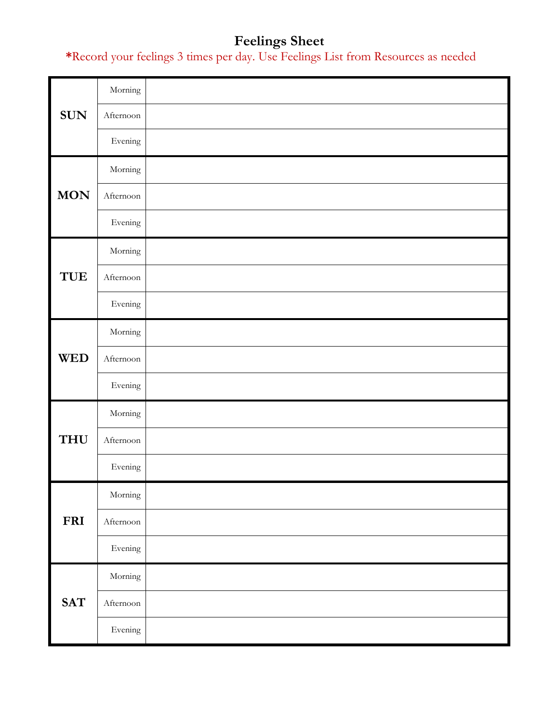# **Feelings Sheet**

**\***Record your feelings 3 times per day. Use Feelings List from Resources as needed

|            | Morning        |  |
|------------|----------------|--|
| <b>SUN</b> | Afternoon      |  |
|            | Evening        |  |
|            | Morning        |  |
| <b>MON</b> | Afternoon      |  |
|            | Evening        |  |
| TUE        | Morning        |  |
|            | Afternoon      |  |
|            | Evening        |  |
| <b>WED</b> | $\rm{Morning}$ |  |
|            | Afternoon      |  |
|            | Evening        |  |
|            | $\rm{Morning}$ |  |
| <b>THU</b> | Afternoon      |  |
|            | Evening        |  |
|            | Morning        |  |
| <b>FRI</b> | Afternoon      |  |
|            | Evening        |  |
|            | Morning        |  |
| <b>SAT</b> | Afternoon      |  |
|            | Evening        |  |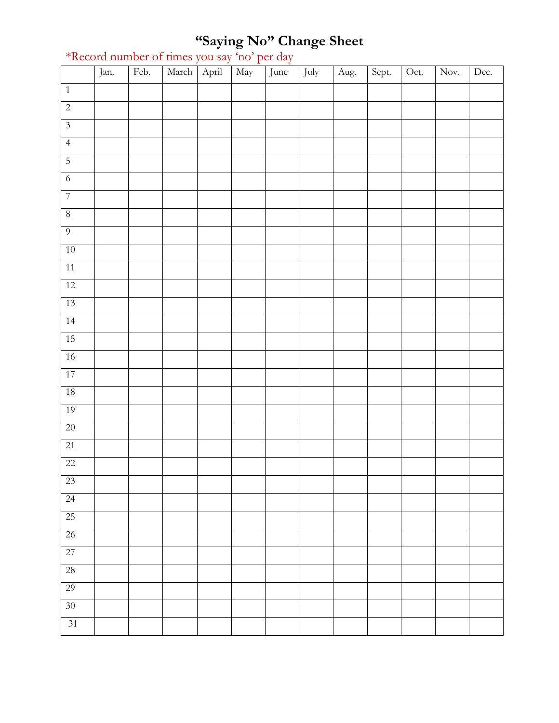#### **"Saying No" Change Sheet**

|                         | Jan. | Feb. | March | April | May | June | July | Aug. | Sept. | Oct. | Nov. | Dec. |
|-------------------------|------|------|-------|-------|-----|------|------|------|-------|------|------|------|
| $\overline{1}$          |      |      |       |       |     |      |      |      |       |      |      |      |
| $\overline{2}$          |      |      |       |       |     |      |      |      |       |      |      |      |
| $\overline{\mathbf{3}}$ |      |      |       |       |     |      |      |      |       |      |      |      |
| $\overline{4}$          |      |      |       |       |     |      |      |      |       |      |      |      |
| $\overline{5}$          |      |      |       |       |     |      |      |      |       |      |      |      |
| $\overline{6}$          |      |      |       |       |     |      |      |      |       |      |      |      |
| $\overline{7}$          |      |      |       |       |     |      |      |      |       |      |      |      |
| $\sqrt{8}$              |      |      |       |       |     |      |      |      |       |      |      |      |
| $\overline{9}$          |      |      |       |       |     |      |      |      |       |      |      |      |
| $10\,$                  |      |      |       |       |     |      |      |      |       |      |      |      |
| 11                      |      |      |       |       |     |      |      |      |       |      |      |      |
| 12                      |      |      |       |       |     |      |      |      |       |      |      |      |
| 13                      |      |      |       |       |     |      |      |      |       |      |      |      |
| 14                      |      |      |       |       |     |      |      |      |       |      |      |      |
| 15                      |      |      |       |       |     |      |      |      |       |      |      |      |
| $16$                    |      |      |       |       |     |      |      |      |       |      |      |      |
| 17                      |      |      |       |       |     |      |      |      |       |      |      |      |
| 18                      |      |      |       |       |     |      |      |      |       |      |      |      |
| 19                      |      |      |       |       |     |      |      |      |       |      |      |      |
| $20\,$                  |      |      |       |       |     |      |      |      |       |      |      |      |
| 21                      |      |      |       |       |     |      |      |      |       |      |      |      |
| $22\,$                  |      |      |       |       |     |      |      |      |       |      |      |      |
| 23                      |      |      |       |       |     |      |      |      |       |      |      |      |
| $\overline{24}$         |      |      |       |       |     |      |      |      |       |      |      |      |
| 25                      |      |      |       |       |     |      |      |      |       |      |      |      |
| $\overline{26}$         |      |      |       |       |     |      |      |      |       |      |      |      |
| 27                      |      |      |       |       |     |      |      |      |       |      |      |      |
| $\overline{28}$         |      |      |       |       |     |      |      |      |       |      |      |      |
| 29                      |      |      |       |       |     |      |      |      |       |      |      |      |
| $\overline{30}$         |      |      |       |       |     |      |      |      |       |      |      |      |
| 31                      |      |      |       |       |     |      |      |      |       |      |      |      |

#### \*Record number of times you say 'no' per day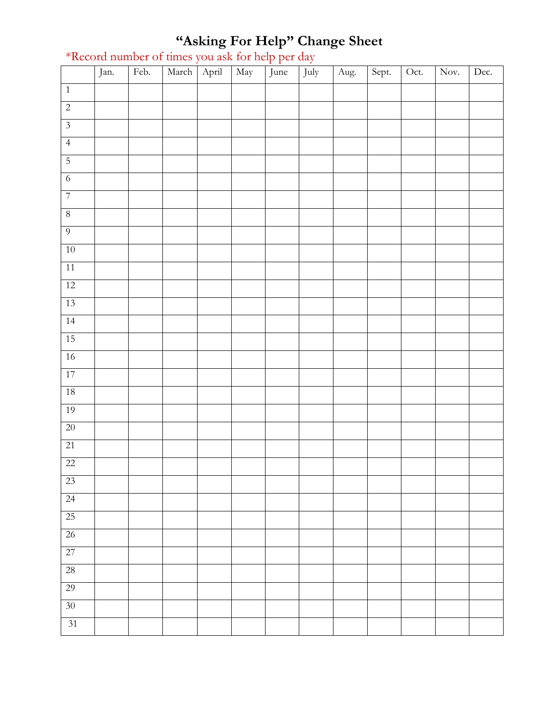### **"Asking For Help" Change Sheet**

|                 | Jan. | Feb. | March | April | May | June | July | Aug. | Sept. | Oct. | Nov. | Dec. |
|-----------------|------|------|-------|-------|-----|------|------|------|-------|------|------|------|
| $1\,$           |      |      |       |       |     |      |      |      |       |      |      |      |
| $\overline{2}$  |      |      |       |       |     |      |      |      |       |      |      |      |
| $\overline{3}$  |      |      |       |       |     |      |      |      |       |      |      |      |
| $\overline{4}$  |      |      |       |       |     |      |      |      |       |      |      |      |
| $\overline{5}$  |      |      |       |       |     |      |      |      |       |      |      |      |
| $\overline{6}$  |      |      |       |       |     |      |      |      |       |      |      |      |
| $\overline{7}$  |      |      |       |       |     |      |      |      |       |      |      |      |
| $\,8\,$         |      |      |       |       |     |      |      |      |       |      |      |      |
| $\overline{9}$  |      |      |       |       |     |      |      |      |       |      |      |      |
| $10\,$          |      |      |       |       |     |      |      |      |       |      |      |      |
| 11              |      |      |       |       |     |      |      |      |       |      |      |      |
| 12              |      |      |       |       |     |      |      |      |       |      |      |      |
| 13              |      |      |       |       |     |      |      |      |       |      |      |      |
| 14              |      |      |       |       |     |      |      |      |       |      |      |      |
| 15              |      |      |       |       |     |      |      |      |       |      |      |      |
| $16\,$          |      |      |       |       |     |      |      |      |       |      |      |      |
| 17              |      |      |       |       |     |      |      |      |       |      |      |      |
| 18              |      |      |       |       |     |      |      |      |       |      |      |      |
| 19              |      |      |       |       |     |      |      |      |       |      |      |      |
| $20\,$          |      |      |       |       |     |      |      |      |       |      |      |      |
| $\overline{21}$ |      |      |       |       |     |      |      |      |       |      |      |      |
| $\overline{22}$ |      |      |       |       |     |      |      |      |       |      |      |      |
| $23\,$          |      |      |       |       |     |      |      |      |       |      |      |      |
| $\overline{24}$ |      |      |       |       |     |      |      |      |       |      |      |      |
| $\overline{25}$ |      |      |       |       |     |      |      |      |       |      |      |      |
| $26\,$          |      |      |       |       |     |      |      |      |       |      |      |      |
| 27              |      |      |       |       |     |      |      |      |       |      |      |      |
| $\overline{28}$ |      |      |       |       |     |      |      |      |       |      |      |      |
| 29              |      |      |       |       |     |      |      |      |       |      |      |      |
| $\overline{30}$ |      |      |       |       |     |      |      |      |       |      |      |      |
| 31              |      |      |       |       |     |      |      |      |       |      |      |      |

#### \*Record number of times you ask for help per day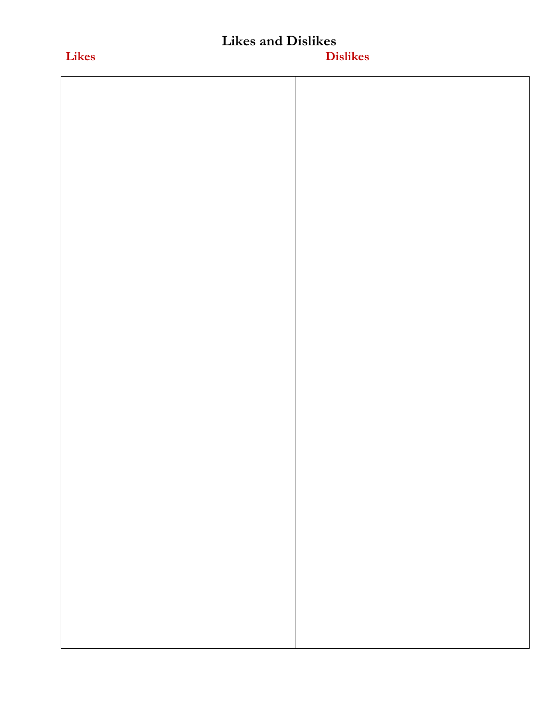# **Likes and Dislikes**

# **Likes Dislikes**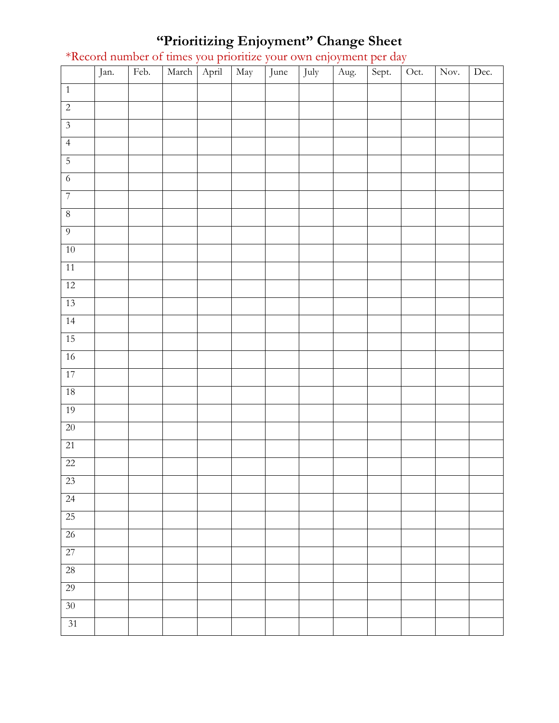#### **"Prioritizing Enjoyment" Change Sheet**

|                 | Jan. | Feb. | March | April | May | June | July | Aug. | Sept. | Oct. | Nov. | Dec. |
|-----------------|------|------|-------|-------|-----|------|------|------|-------|------|------|------|
| $\overline{1}$  |      |      |       |       |     |      |      |      |       |      |      |      |
| $\overline{c}$  |      |      |       |       |     |      |      |      |       |      |      |      |
| $\overline{3}$  |      |      |       |       |     |      |      |      |       |      |      |      |
| $\overline{4}$  |      |      |       |       |     |      |      |      |       |      |      |      |
| $\overline{5}$  |      |      |       |       |     |      |      |      |       |      |      |      |
| $\overline{6}$  |      |      |       |       |     |      |      |      |       |      |      |      |
| $\overline{7}$  |      |      |       |       |     |      |      |      |       |      |      |      |
| $\,8\,$         |      |      |       |       |     |      |      |      |       |      |      |      |
| $\overline{9}$  |      |      |       |       |     |      |      |      |       |      |      |      |
| $10\,$          |      |      |       |       |     |      |      |      |       |      |      |      |
| 11              |      |      |       |       |     |      |      |      |       |      |      |      |
| $12\,$          |      |      |       |       |     |      |      |      |       |      |      |      |
| 13              |      |      |       |       |     |      |      |      |       |      |      |      |
| 14              |      |      |       |       |     |      |      |      |       |      |      |      |
| 15              |      |      |       |       |     |      |      |      |       |      |      |      |
| $16\,$          |      |      |       |       |     |      |      |      |       |      |      |      |
| 17              |      |      |       |       |     |      |      |      |       |      |      |      |
| $18\,$          |      |      |       |       |     |      |      |      |       |      |      |      |
| 19              |      |      |       |       |     |      |      |      |       |      |      |      |
| $20\,$          |      |      |       |       |     |      |      |      |       |      |      |      |
| 21              |      |      |       |       |     |      |      |      |       |      |      |      |
| $22\,$          |      |      |       |       |     |      |      |      |       |      |      |      |
| $23\,$          |      |      |       |       |     |      |      |      |       |      |      |      |
| $\overline{24}$ |      |      |       |       |     |      |      |      |       |      |      |      |
| 25              |      |      |       |       |     |      |      |      |       |      |      |      |
| 26              |      |      |       |       |     |      |      |      |       |      |      |      |
| 27              |      |      |       |       |     |      |      |      |       |      |      |      |
| $\overline{28}$ |      |      |       |       |     |      |      |      |       |      |      |      |
| 29              |      |      |       |       |     |      |      |      |       |      |      |      |
| 30 <sup>°</sup> |      |      |       |       |     |      |      |      |       |      |      |      |
| 31              |      |      |       |       |     |      |      |      |       |      |      |      |

\*Record number of times you prioritize your own enjoyment per day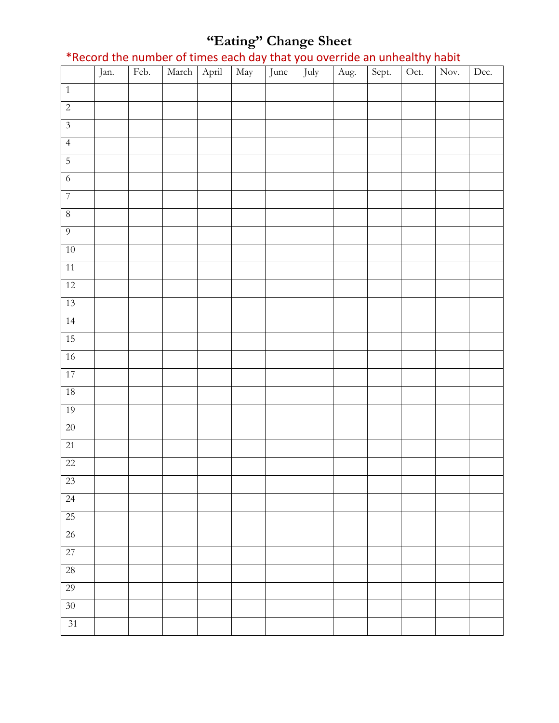#### **"Eating" Change Sheet**

\*Record the number of times each day that you override an unhealthy habit

|                         | Jan. | Feb. | March | April | May | $\mathbf{r}$<br>$\mathbf{r}$<br>June | July | Aug. | Sept. | $\overline{Oct.}$ | Nov. | Dec. |
|-------------------------|------|------|-------|-------|-----|--------------------------------------|------|------|-------|-------------------|------|------|
| $\overline{1}$          |      |      |       |       |     |                                      |      |      |       |                   |      |      |
| $\overline{c}$          |      |      |       |       |     |                                      |      |      |       |                   |      |      |
| $\overline{\mathbf{3}}$ |      |      |       |       |     |                                      |      |      |       |                   |      |      |
| $\overline{4}$          |      |      |       |       |     |                                      |      |      |       |                   |      |      |
| $\overline{5}$          |      |      |       |       |     |                                      |      |      |       |                   |      |      |
| $\sqrt{6}$              |      |      |       |       |     |                                      |      |      |       |                   |      |      |
| $\overline{7}$          |      |      |       |       |     |                                      |      |      |       |                   |      |      |
| $\, 8$                  |      |      |       |       |     |                                      |      |      |       |                   |      |      |
| $\overline{9}$          |      |      |       |       |     |                                      |      |      |       |                   |      |      |
| $10\,$                  |      |      |       |       |     |                                      |      |      |       |                   |      |      |
| 11                      |      |      |       |       |     |                                      |      |      |       |                   |      |      |
| 12                      |      |      |       |       |     |                                      |      |      |       |                   |      |      |
| 13                      |      |      |       |       |     |                                      |      |      |       |                   |      |      |
| 14                      |      |      |       |       |     |                                      |      |      |       |                   |      |      |
| 15                      |      |      |       |       |     |                                      |      |      |       |                   |      |      |
| $16\,$                  |      |      |       |       |     |                                      |      |      |       |                   |      |      |
| 17                      |      |      |       |       |     |                                      |      |      |       |                   |      |      |
| $18\,$                  |      |      |       |       |     |                                      |      |      |       |                   |      |      |
| 19                      |      |      |       |       |     |                                      |      |      |       |                   |      |      |
| $20\,$                  |      |      |       |       |     |                                      |      |      |       |                   |      |      |
| 21                      |      |      |       |       |     |                                      |      |      |       |                   |      |      |
| 22                      |      |      |       |       |     |                                      |      |      |       |                   |      |      |
| 23                      |      |      |       |       |     |                                      |      |      |       |                   |      |      |
| $\overline{24}$         |      |      |       |       |     |                                      |      |      |       |                   |      |      |
| $25\,$                  |      |      |       |       |     |                                      |      |      |       |                   |      |      |
| $\overline{26}$         |      |      |       |       |     |                                      |      |      |       |                   |      |      |
| 27                      |      |      |       |       |     |                                      |      |      |       |                   |      |      |
| $\overline{28}$         |      |      |       |       |     |                                      |      |      |       |                   |      |      |
| 29                      |      |      |       |       |     |                                      |      |      |       |                   |      |      |
| $\overline{30}$         |      |      |       |       |     |                                      |      |      |       |                   |      |      |
| 31                      |      |      |       |       |     |                                      |      |      |       |                   |      |      |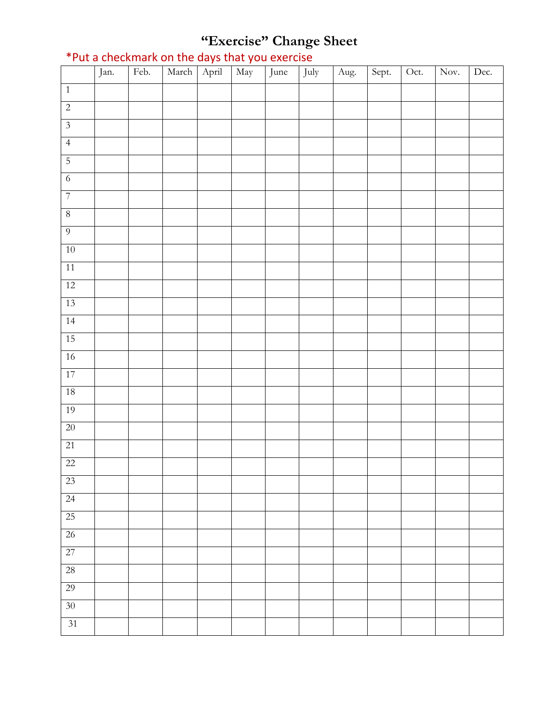# **"Exercise" Change Sheet**

|                         | Jan. | Feb. | March April | $\sqrt{May}$ | June | July | Aug. | Sept. | Oct. | Nov. | Dec. |
|-------------------------|------|------|-------------|--------------|------|------|------|-------|------|------|------|
| $\,1\,$                 |      |      |             |              |      |      |      |       |      |      |      |
| $\overline{2}$          |      |      |             |              |      |      |      |       |      |      |      |
| $\overline{\mathbf{3}}$ |      |      |             |              |      |      |      |       |      |      |      |
| $\overline{4}$          |      |      |             |              |      |      |      |       |      |      |      |
| $\overline{5}$          |      |      |             |              |      |      |      |       |      |      |      |
| $\overline{6}$          |      |      |             |              |      |      |      |       |      |      |      |
| $\overline{7}$          |      |      |             |              |      |      |      |       |      |      |      |
| $\,8\,$                 |      |      |             |              |      |      |      |       |      |      |      |
| $\overline{9}$          |      |      |             |              |      |      |      |       |      |      |      |
| $10\,$                  |      |      |             |              |      |      |      |       |      |      |      |
| 11                      |      |      |             |              |      |      |      |       |      |      |      |
| 12                      |      |      |             |              |      |      |      |       |      |      |      |
| 13                      |      |      |             |              |      |      |      |       |      |      |      |
| 14                      |      |      |             |              |      |      |      |       |      |      |      |
| 15                      |      |      |             |              |      |      |      |       |      |      |      |
| $16\,$                  |      |      |             |              |      |      |      |       |      |      |      |
| 17                      |      |      |             |              |      |      |      |       |      |      |      |
| $18\,$                  |      |      |             |              |      |      |      |       |      |      |      |
| 19                      |      |      |             |              |      |      |      |       |      |      |      |
| $20\,$                  |      |      |             |              |      |      |      |       |      |      |      |
| 21                      |      |      |             |              |      |      |      |       |      |      |      |
| $\overline{22}$         |      |      |             |              |      |      |      |       |      |      |      |
| $23\,$                  |      |      |             |              |      |      |      |       |      |      |      |
| $\overline{24}$         |      |      |             |              |      |      |      |       |      |      |      |
| 25                      |      |      |             |              |      |      |      |       |      |      |      |
| $\overline{26}$         |      |      |             |              |      |      |      |       |      |      |      |
| 27                      |      |      |             |              |      |      |      |       |      |      |      |
| $\overline{28}$         |      |      |             |              |      |      |      |       |      |      |      |
| 29                      |      |      |             |              |      |      |      |       |      |      |      |
| $\overline{30}$         |      |      |             |              |      |      |      |       |      |      |      |
| 31                      |      |      |             |              |      |      |      |       |      |      |      |

## \*Put a checkmark on the days that you exercise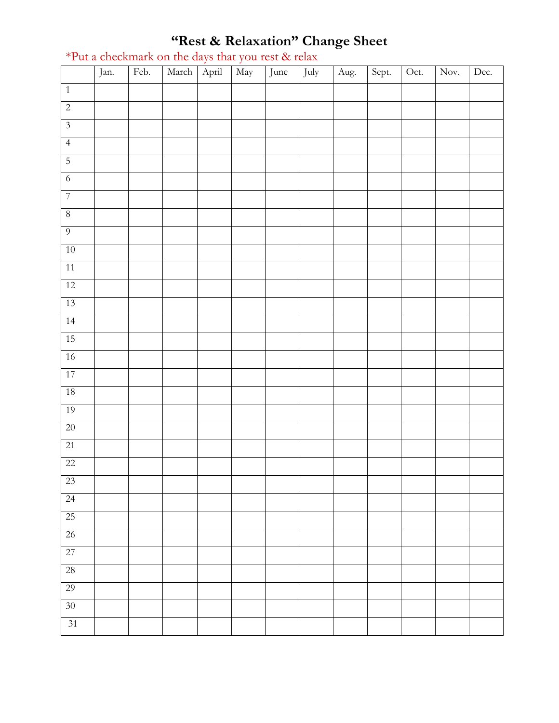#### **"Rest & Relaxation" Change Sheet**

|                 | Jan. | Feb. | March | April | May | June | July | Aug. | Sept. | Oct. | Nov. | Dec. |
|-----------------|------|------|-------|-------|-----|------|------|------|-------|------|------|------|
| $\overline{1}$  |      |      |       |       |     |      |      |      |       |      |      |      |
| $\overline{2}$  |      |      |       |       |     |      |      |      |       |      |      |      |
| $\overline{3}$  |      |      |       |       |     |      |      |      |       |      |      |      |
| $\overline{4}$  |      |      |       |       |     |      |      |      |       |      |      |      |
| $\overline{5}$  |      |      |       |       |     |      |      |      |       |      |      |      |
| $\overline{6}$  |      |      |       |       |     |      |      |      |       |      |      |      |
| $\overline{7}$  |      |      |       |       |     |      |      |      |       |      |      |      |
| $\, 8$          |      |      |       |       |     |      |      |      |       |      |      |      |
| $\overline{9}$  |      |      |       |       |     |      |      |      |       |      |      |      |
| $10\,$          |      |      |       |       |     |      |      |      |       |      |      |      |
| $11\,$          |      |      |       |       |     |      |      |      |       |      |      |      |
| 12              |      |      |       |       |     |      |      |      |       |      |      |      |
| 13              |      |      |       |       |     |      |      |      |       |      |      |      |
| 14              |      |      |       |       |     |      |      |      |       |      |      |      |
| 15              |      |      |       |       |     |      |      |      |       |      |      |      |
| $16\,$          |      |      |       |       |     |      |      |      |       |      |      |      |
| 17              |      |      |       |       |     |      |      |      |       |      |      |      |
| $18\,$          |      |      |       |       |     |      |      |      |       |      |      |      |
| 19              |      |      |       |       |     |      |      |      |       |      |      |      |
| $20\,$          |      |      |       |       |     |      |      |      |       |      |      |      |
| 21              |      |      |       |       |     |      |      |      |       |      |      |      |
| $22\,$          |      |      |       |       |     |      |      |      |       |      |      |      |
| 23              |      |      |       |       |     |      |      |      |       |      |      |      |
| $\overline{24}$ |      |      |       |       |     |      |      |      |       |      |      |      |
| 25              |      |      |       |       |     |      |      |      |       |      |      |      |
| $\overline{26}$ |      |      |       |       |     |      |      |      |       |      |      |      |
| 27              |      |      |       |       |     |      |      |      |       |      |      |      |
| 28              |      |      |       |       |     |      |      |      |       |      |      |      |
| 29              |      |      |       |       |     |      |      |      |       |      |      |      |
| 30 <sup>°</sup> |      |      |       |       |     |      |      |      |       |      |      |      |
| 31              |      |      |       |       |     |      |      |      |       |      |      |      |

#### \*Put a checkmark on the days that you rest & relax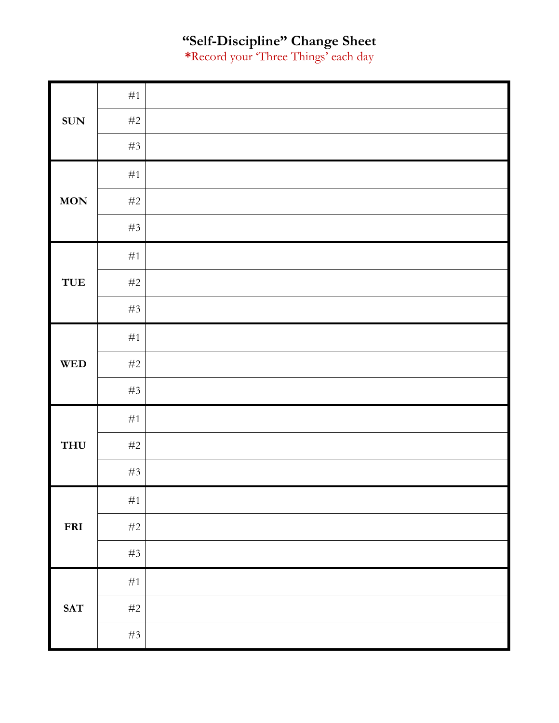#### **"Self-Discipline" Change Sheet**

**\***Record your 'Three Things' each day

|                                  | $\#1$ |  |
|----------------------------------|-------|--|
| <b>SUN</b>                       | $\#2$ |  |
|                                  | $\#3$ |  |
|                                  | $\#1$ |  |
| $\mathbf{MON}$                   | $\#2$ |  |
|                                  | $\#3$ |  |
| TUE                              | $\#1$ |  |
|                                  | $\#2$ |  |
|                                  | $\#3$ |  |
| $\mathbf{W}\mathbf{E}\mathbf{D}$ | $\#1$ |  |
|                                  | $\#2$ |  |
|                                  | $\#3$ |  |
|                                  | $\#1$ |  |
| THU                              | $\#2$ |  |
|                                  | $\#3$ |  |
|                                  | $\#1$ |  |
| FRI                              | $\#2$ |  |
|                                  | $\#3$ |  |
|                                  | $\#1$ |  |
| <b>SAT</b>                       | $\#2$ |  |
|                                  | $\#3$ |  |